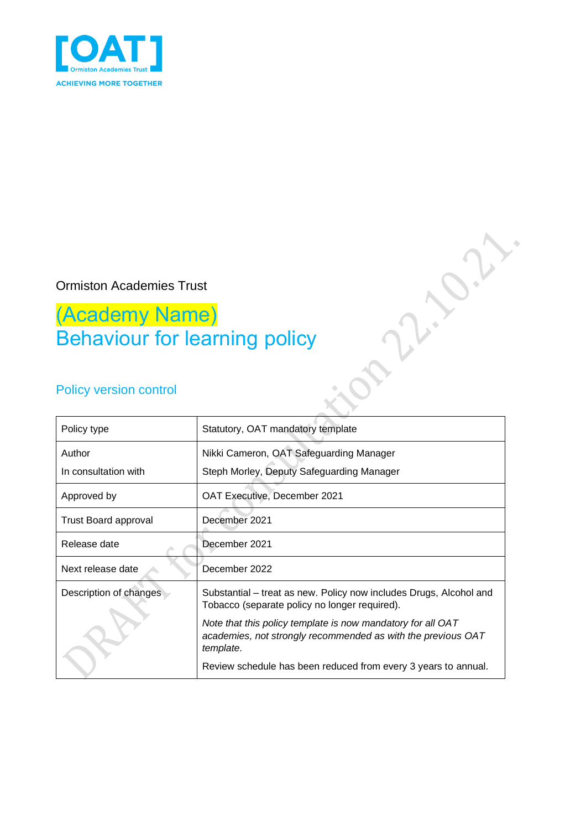

## Ormiston Academies Trust

# (Academy Name) Behaviour for learning policy

## Policy version control

| Policy type                 | Statutory, OAT mandatory template                                                                                                        |
|-----------------------------|------------------------------------------------------------------------------------------------------------------------------------------|
| Author                      | Nikki Cameron, OAT Safeguarding Manager                                                                                                  |
| In consultation with        | Steph Morley, Deputy Safeguarding Manager                                                                                                |
| Approved by                 | <b>OAT Executive, December 2021</b>                                                                                                      |
| <b>Trust Board approval</b> | December 2021                                                                                                                            |
| Release date                | December 2021                                                                                                                            |
| Next release date           | December 2022                                                                                                                            |
| Description of changes      | Substantial – treat as new. Policy now includes Drugs, Alcohol and<br>Tobacco (separate policy no longer required).                      |
|                             | Note that this policy template is now mandatory for all OAT<br>academies, not strongly recommended as with the previous OAT<br>template. |
|                             | Review schedule has been reduced from every 3 years to annual.                                                                           |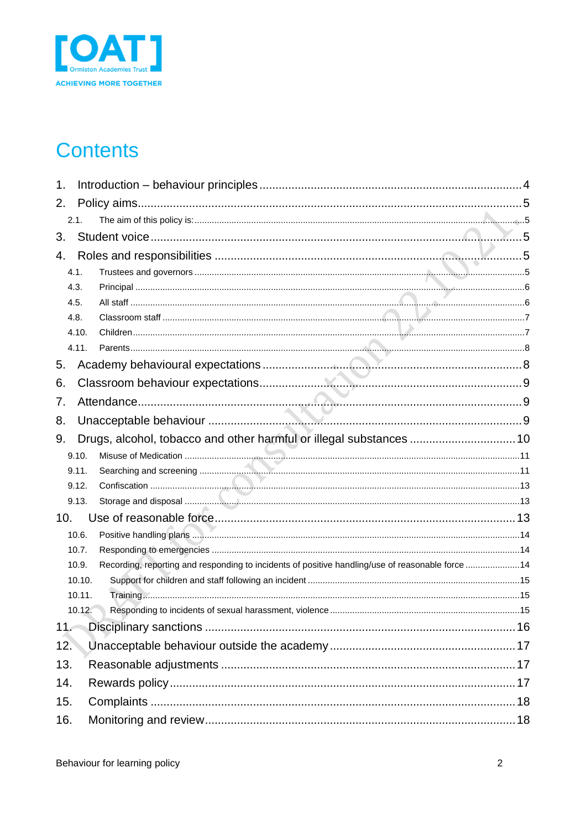

# **Contents**

| 1.  |        |                                                                                                  |  |
|-----|--------|--------------------------------------------------------------------------------------------------|--|
| 2.  |        |                                                                                                  |  |
|     | 2.1.   |                                                                                                  |  |
| 3.  |        |                                                                                                  |  |
| 4.  |        |                                                                                                  |  |
|     | 4.1.   |                                                                                                  |  |
|     | 4.3.   |                                                                                                  |  |
|     | 4.5.   |                                                                                                  |  |
|     | 4.8.   |                                                                                                  |  |
|     | 4.10.  |                                                                                                  |  |
|     | 4.11.  |                                                                                                  |  |
| 5.  |        |                                                                                                  |  |
| 6.  |        |                                                                                                  |  |
| 7.  |        |                                                                                                  |  |
| 8.  |        |                                                                                                  |  |
| 9.  |        | Drugs, alcohol, tobacco and other harmful or illegal substances  10                              |  |
|     | 9.10.  |                                                                                                  |  |
|     | 9.11.  |                                                                                                  |  |
|     | 9.12.  |                                                                                                  |  |
|     | 9.13.  |                                                                                                  |  |
| 10. |        |                                                                                                  |  |
|     | 10.6.  |                                                                                                  |  |
|     | 10.7.  |                                                                                                  |  |
|     | 10.9.  | Recording, reporting and responding to incidents of positive handling/use of reasonable force 14 |  |
|     | 10.10. |                                                                                                  |  |
|     | 10.11. |                                                                                                  |  |
|     | 10.12. |                                                                                                  |  |
| 11. |        |                                                                                                  |  |
| 12. |        |                                                                                                  |  |
| 13. |        |                                                                                                  |  |
| 14. |        |                                                                                                  |  |
| 15. |        |                                                                                                  |  |
| 16. |        |                                                                                                  |  |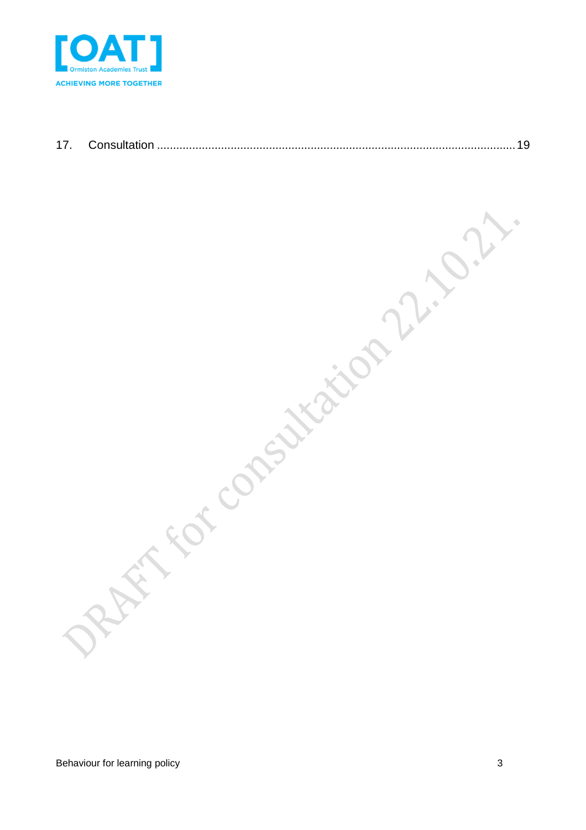

RAFT for consiliation 22,022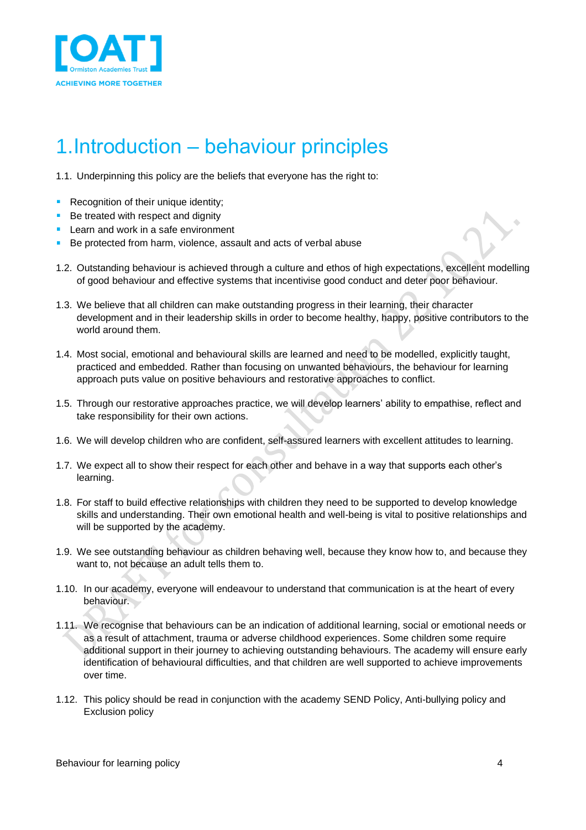

# <span id="page-3-0"></span>1.Introduction – behaviour principles

1.1. Underpinning this policy are the beliefs that everyone has the right to:

- Recognition of their unique identity;
- Be treated with respect and dignity
- **Learn and work in a safe environment**
- Be protected from harm, violence, assault and acts of verbal abuse
- 1.2. Outstanding behaviour is achieved through a culture and ethos of high expectations, excellent modelling of good behaviour and effective systems that incentivise good conduct and deter poor behaviour.
- 1.3. We believe that all children can make outstanding progress in their learning, their character development and in their leadership skills in order to become healthy, happy, positive contributors to the world around them.
- 1.4. Most social, emotional and behavioural skills are learned and need to be modelled, explicitly taught, practiced and embedded. Rather than focusing on unwanted behaviours, the behaviour for learning approach puts value on positive behaviours and restorative approaches to conflict.
- 1.5. Through our restorative approaches practice, we will develop learners' ability to empathise, reflect and take responsibility for their own actions.
- 1.6. We will develop children who are confident, self-assured learners with excellent attitudes to learning.
- 1.7. We expect all to show their respect for each other and behave in a way that supports each other's learning.
- 1.8. For staff to build effective relationships with children they need to be supported to develop knowledge skills and understanding. Their own emotional health and well-being is vital to positive relationships and will be supported by the academy.
- 1.9. We see outstanding behaviour as children behaving well, because they know how to, and because they want to, not because an adult tells them to.
- 1.10. In our academy, everyone will endeavour to understand that communication is at the heart of every behaviour.
- 1.11. We recognise that behaviours can be an indication of additional learning, social or emotional needs or as a result of attachment, trauma or adverse childhood experiences. Some children some require additional support in their journey to achieving outstanding behaviours. The academy will ensure early identification of behavioural difficulties, and that children are well supported to achieve improvements over time.
- 1.12. This policy should be read in conjunction with the academy SEND Policy, Anti-bullying policy and Exclusion policy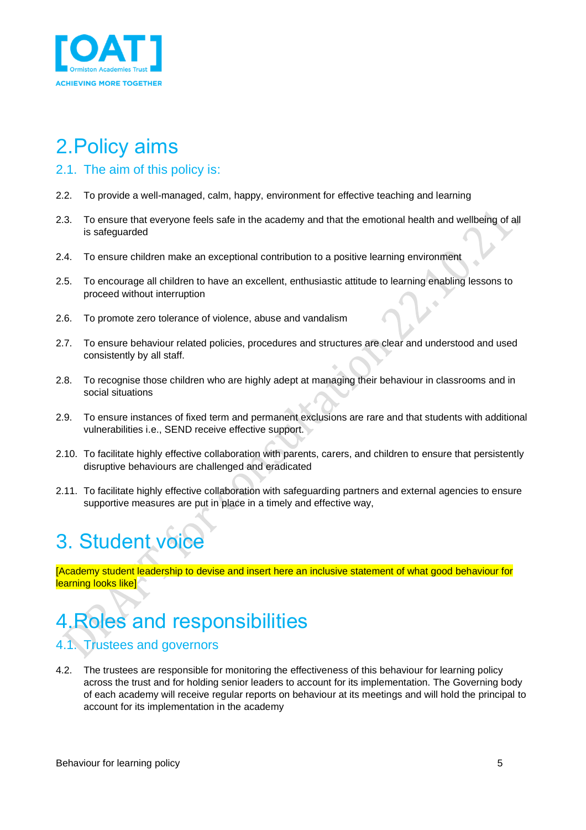

# <span id="page-4-0"></span>2.Policy aims

### <span id="page-4-1"></span>2.1. The aim of this policy is:

- 2.2. To provide a well-managed, calm, happy, environment for effective teaching and learning
- 2.3. To ensure that everyone feels safe in the academy and that the emotional health and wellbeing of all is safeguarded
- 2.4. To ensure children make an exceptional contribution to a positive learning environment
- 2.5. To encourage all children to have an excellent, enthusiastic attitude to learning enabling lessons to proceed without interruption
- 2.6. To promote zero tolerance of violence, abuse and vandalism
- 2.7. To ensure behaviour related policies, procedures and structures are clear and understood and used consistently by all staff.
- 2.8. To recognise those children who are highly adept at managing their behaviour in classrooms and in social situations
- 2.9. To ensure instances of fixed term and permanent exclusions are rare and that students with additional vulnerabilities i.e., SEND receive effective support.
- 2.10. To facilitate highly effective collaboration with parents, carers, and children to ensure that persistently disruptive behaviours are challenged and eradicated
- 2.11. To facilitate highly effective collaboration with safeguarding partners and external agencies to ensure supportive measures are put in place in a timely and effective way,

# <span id="page-4-2"></span>3. Student voice

[Academy student leadership to devise and insert here an inclusive statement of what good behaviour for learning looks like]

# <span id="page-4-3"></span>4.Roles and responsibilities

## <span id="page-4-4"></span>4.1. Trustees and governors

4.2. The trustees are responsible for monitoring the effectiveness of this behaviour for learning policy across the trust and for holding senior leaders to account for its implementation. The Governing body of each academy will receive regular reports on behaviour at its meetings and will hold the principal to account for its implementation in the academy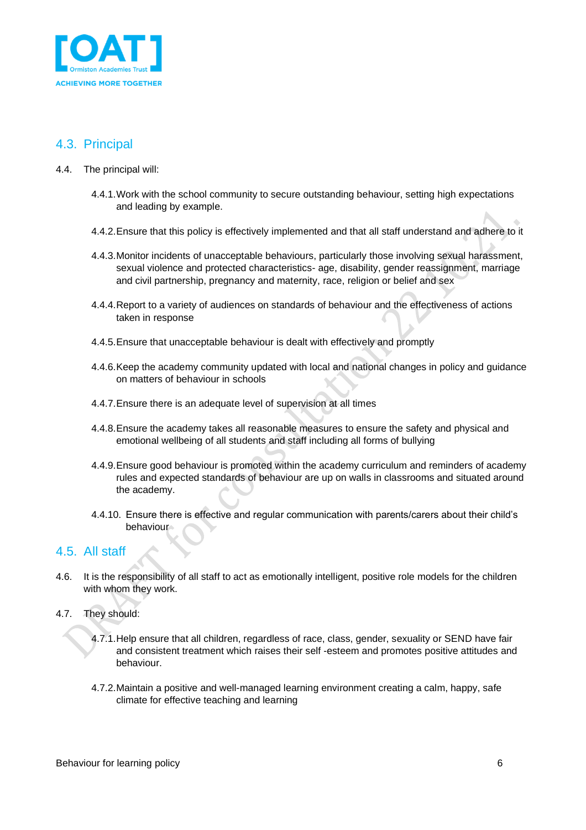

### <span id="page-5-0"></span>4.3. Principal

- 4.4. The principal will:
	- 4.4.1.Work with the school community to secure outstanding behaviour, setting high expectations and leading by example.
	- 4.4.2.Ensure that this policy is effectively implemented and that all staff understand and adhere to it
	- 4.4.3.Monitor incidents of unacceptable behaviours, particularly those involving sexual harassment, sexual violence and protected characteristics- age, disability, gender reassignment, marriage and civil partnership, pregnancy and maternity, race, religion or belief and sex
	- 4.4.4.Report to a variety of audiences on standards of behaviour and the effectiveness of actions taken in response
	- 4.4.5.Ensure that unacceptable behaviour is dealt with effectively and promptly
	- 4.4.6.Keep the academy community updated with local and national changes in policy and guidance on matters of behaviour in schools
	- 4.4.7.Ensure there is an adequate level of supervision at all times
	- 4.4.8.Ensure the academy takes all reasonable measures to ensure the safety and physical and emotional wellbeing of all students and staff including all forms of bullying
	- 4.4.9.Ensure good behaviour is promoted within the academy curriculum and reminders of academy rules and expected standards of behaviour are up on walls in classrooms and situated around the academy.
	- 4.4.10. Ensure there is effective and regular communication with parents/carers about their child's behaviour

### <span id="page-5-1"></span>4.5. All staff

- 4.6. It is the responsibility of all staff to act as emotionally intelligent, positive role models for the children with whom they work.
- 4.7. They should:
	- 4.7.1.Help ensure that all children, regardless of race, class, gender, sexuality or SEND have fair and consistent treatment which raises their self -esteem and promotes positive attitudes and behaviour.
	- 4.7.2.Maintain a positive and well-managed learning environment creating a calm, happy, safe climate for effective teaching and learning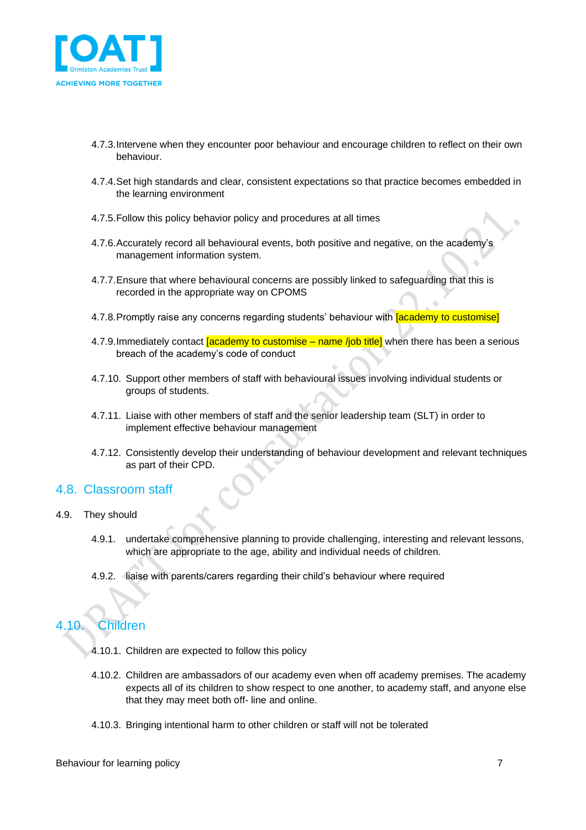

- 4.7.3.Intervene when they encounter poor behaviour and encourage children to reflect on their own behaviour.
- 4.7.4.Set high standards and clear, consistent expectations so that practice becomes embedded in the learning environment
- 4.7.5.Follow this policy behavior policy and procedures at all times
- 4.7.6.Accurately record all behavioural events, both positive and negative, on the academy's management information system.
- 4.7.7.Ensure that where behavioural concerns are possibly linked to safeguarding that this is recorded in the appropriate way on CPOMS
- 4.7.8. Promptly raise any concerns regarding students' behaviour with **[academy to customise]**
- 4.7.9. Immediately contact **[academy to customise** name *l*|ob title] when there has been a serious breach of the academy's code of conduct
- 4.7.10. Support other members of staff with behavioural issues involving individual students or groups of students.
- 4.7.11. Liaise with other members of staff and the senior leadership team (SLT) in order to implement effective behaviour management
- 4.7.12. Consistently develop their understanding of behaviour development and relevant techniques as part of their CPD.

### <span id="page-6-0"></span>4.8. Classroom staff

- 4.9. They should
	- 4.9.1. undertake comprehensive planning to provide challenging, interesting and relevant lessons, which are appropriate to the age, ability and individual needs of children.
	- 4.9.2. liaise with parents/carers regarding their child's behaviour where required

## <span id="page-6-1"></span>4.10. Children

- 4.10.1. Children are expected to follow this policy
- 4.10.2. Children are ambassadors of our academy even when off academy premises. The academy expects all of its children to show respect to one another, to academy staff, and anyone else that they may meet both off- line and online.
- 4.10.3. Bringing intentional harm to other children or staff will not be tolerated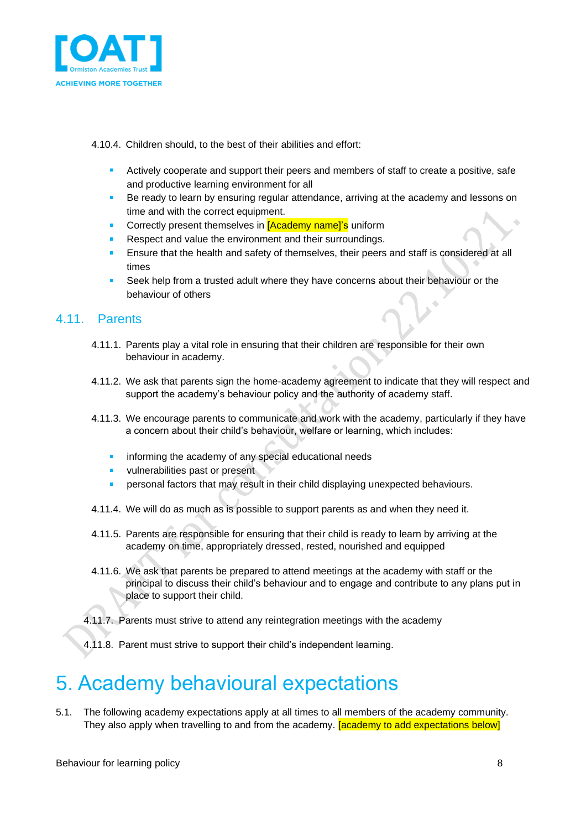

4.10.4. Children should, to the best of their abilities and effort:

- Actively cooperate and support their peers and members of staff to create a positive, safe and productive learning environment for all
- Be ready to learn by ensuring regular attendance, arriving at the academy and lessons on time and with the correct equipment.
- Correctly present themselves in [Academy name]'s uniform
- Respect and value the environment and their surroundings.
- Ensure that the health and safety of themselves, their peers and staff is considered at all times
- Seek help from a trusted adult where they have concerns about their behaviour or the behaviour of others

### <span id="page-7-0"></span>4.11. Parents

- 4.11.1. Parents play a vital role in ensuring that their children are responsible for their own behaviour in academy.
- 4.11.2. We ask that parents sign the home-academy agreement to indicate that they will respect and support the academy's behaviour policy and the authority of academy staff.
- 4.11.3. We encourage parents to communicate and work with the academy, particularly if they have a concern about their child's behaviour, welfare or learning, which includes:
	- informing the academy of any special educational needs
	- vulnerabilities past or present
	- personal factors that may result in their child displaying unexpected behaviours.
- 4.11.4. We will do as much as is possible to support parents as and when they need it.
- 4.11.5. Parents are responsible for ensuring that their child is ready to learn by arriving at the academy on time, appropriately dressed, rested, nourished and equipped
- 4.11.6. We ask that parents be prepared to attend meetings at the academy with staff or the principal to discuss their child's behaviour and to engage and contribute to any plans put in place to support their child.
- 4.11.7. Parents must strive to attend any reintegration meetings with the academy
- 4.11.8. Parent must strive to support their child's independent learning.

## <span id="page-7-1"></span>5. Academy behavioural expectations

5.1. The following academy expectations apply at all times to all members of the academy community. They also apply when travelling to and from the academy. **[academy to add expectations below]**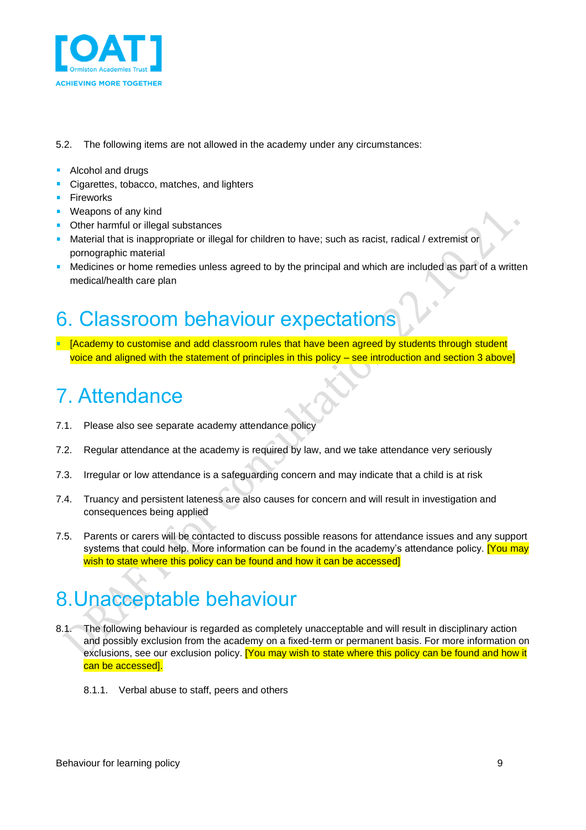

- 5.2. The following items are not allowed in the academy under any circumstances:
- **Alcohol and drugs**
- Cigarettes, tobacco, matches, and lighters **CONTRACTOR**
- **Fireworks**
- **Weapons of any kind**
- **•** Other harmful or illegal substances
- **Material that is inappropriate or illegal for children to have; such as racist, radical / extremist or** pornographic material
- **•** Medicines or home remedies unless agreed to by the principal and which are included as part of a written medical/health care plan

## <span id="page-8-0"></span>6. Classroom behaviour expectations

[Academy to customise and add classroom rules that have been agreed by students through student voice and aligned with the statement of principles in this policy – see introduction and section 3 above]

## <span id="page-8-1"></span>7. Attendance

- 7.1. Please also see separate academy attendance policy
- 7.2. Regular attendance at the academy is required by law, and we take attendance very seriously
- 7.3. Irregular or low attendance is a safeguarding concern and may indicate that a child is at risk
- 7.4. Truancy and persistent lateness are also causes for concern and will result in investigation and consequences being applied
- 7.5. Parents or carers will be contacted to discuss possible reasons for attendance issues and any support systems that could help. More information can be found in the academy's attendance policy. **[You may** wish to state where this policy can be found and how it can be accessed]

# <span id="page-8-2"></span>8.Unacceptable behaviour

- 8.1. The following behaviour is regarded as completely unacceptable and will result in disciplinary action and possibly exclusion from the academy on a fixed-term or permanent basis. For more information on exclusions, see our exclusion policy. [You may wish to state where this policy can be found and how it can be accessed].
	- 8.1.1. Verbal abuse to staff, peers and others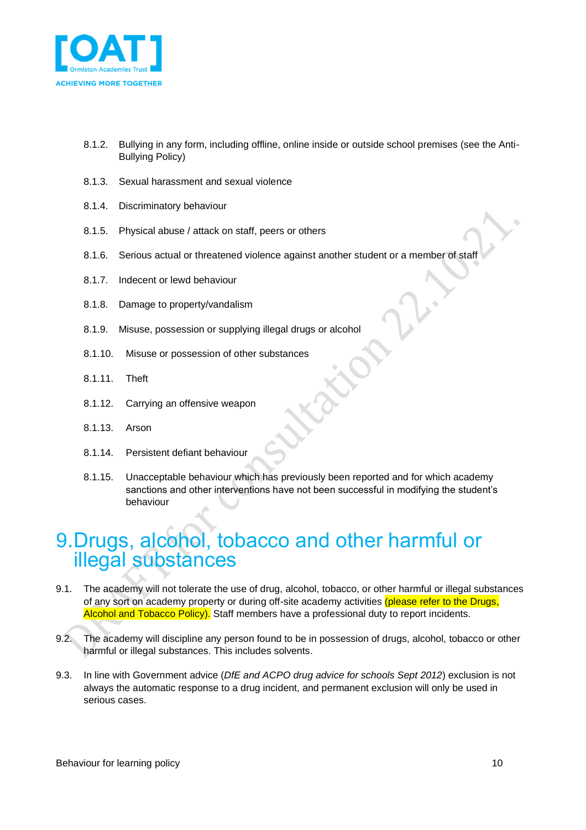

- 8.1.2. Bullying in any form, including offline, online inside or outside school premises (see the Anti-Bullying Policy)
- 8.1.3. Sexual harassment and sexual violence
- 8.1.4. Discriminatory behaviour
- 8.1.5. Physical abuse / attack on staff, peers or others
- 8.1.6. Serious actual or threatened violence against another student or a member of staff
- 8.1.7. Indecent or lewd behaviour
- 8.1.8. Damage to property/vandalism
- 8.1.9. Misuse, possession or supplying illegal drugs or alcohol
- 8.1.10. Misuse or possession of other substances
- 8.1.11. Theft
- 8.1.12. Carrying an offensive weapon
- 8.1.13. Arson
- 8.1.14. Persistent defiant behaviour
- 8.1.15. Unacceptable behaviour which has previously been reported and for which academy sanctions and other interventions have not been successful in modifying the student's behaviour

## <span id="page-9-0"></span>9.Drugs, alcohol, tobacco and other harmful or illegal substances

- 9.1. The academy will not tolerate the use of drug, alcohol, tobacco, or other harmful or illegal substances of any sort on academy property or during off-site academy activities (please refer to the Drugs, Alcohol and Tobacco Policy). Staff members have a professional duty to report incidents.
- 9.2. The academy will discipline any person found to be in possession of drugs, alcohol, tobacco or other harmful or illegal substances. This includes solvents.
- 9.3. In line with Government advice (*DfE and ACPO drug advice for schools Sept 2012*) exclusion is not always the automatic response to a drug incident, and permanent exclusion will only be used in serious cases.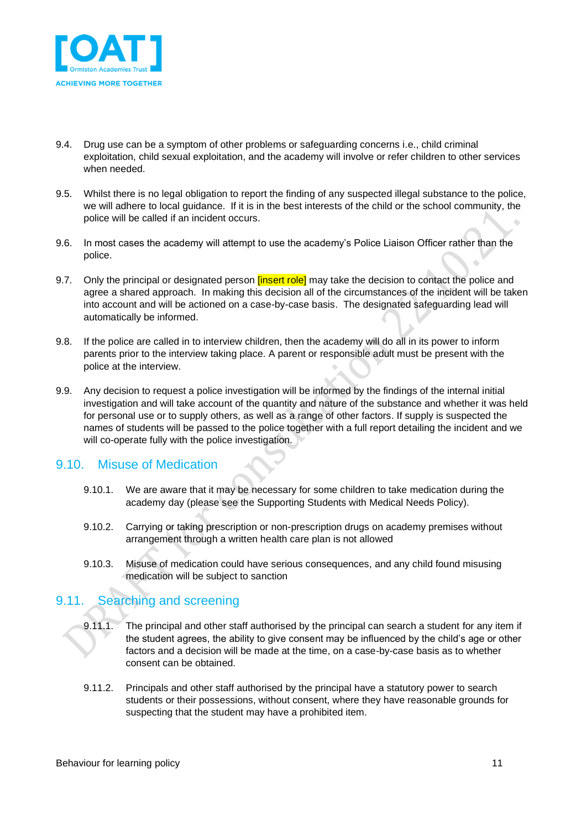

- 9.4. Drug use can be a symptom of other problems or safeguarding concerns i.e., child criminal exploitation, child sexual exploitation, and the academy will involve or refer children to other services when needed.
- 9.5. Whilst there is no legal obligation to report the finding of any suspected illegal substance to the police, we will adhere to local guidance. If it is in the best interests of the child or the school community, the police will be called if an incident occurs.
- 9.6. In most cases the academy will attempt to use the academy's Police Liaison Officer rather than the police.
- 9.7. Only the principal or designated person *[insert role]* may take the decision to contact the police and agree a shared approach. In making this decision all of the circumstances of the incident will be taken into account and will be actioned on a case-by-case basis. The designated safeguarding lead will automatically be informed.
- 9.8. If the police are called in to interview children, then the academy will do all in its power to inform parents prior to the interview taking place. A parent or responsible adult must be present with the police at the interview.
- 9.9. Any decision to request a police investigation will be informed by the findings of the internal initial investigation and will take account of the quantity and nature of the substance and whether it was held for personal use or to supply others, as well as a range of other factors. If supply is suspected the names of students will be passed to the police together with a full report detailing the incident and we will co-operate fully with the police investigation.

### <span id="page-10-0"></span>9.10. Misuse of Medication

- 9.10.1. We are aware that it may be necessary for some children to take medication during the academy day (please see the Supporting Students with Medical Needs Policy).
- 9.10.2. Carrying or taking prescription or non-prescription drugs on academy premises without arrangement through a written health care plan is not allowed
- 9.10.3. Misuse of medication could have serious consequences, and any child found misusing medication will be subject to sanction

## <span id="page-10-1"></span>9.11. Searching and screening

- 9.11.1. The principal and other staff authorised by the principal can search a student for any item if the student agrees, the ability to give consent may be influenced by the child's age or other factors and a decision will be made at the time, on a case-by-case basis as to whether consent can be obtained.
- 9.11.2. Principals and other staff authorised by the principal have a statutory power to search students or their possessions, without consent, where they have reasonable grounds for suspecting that the student may have a prohibited item.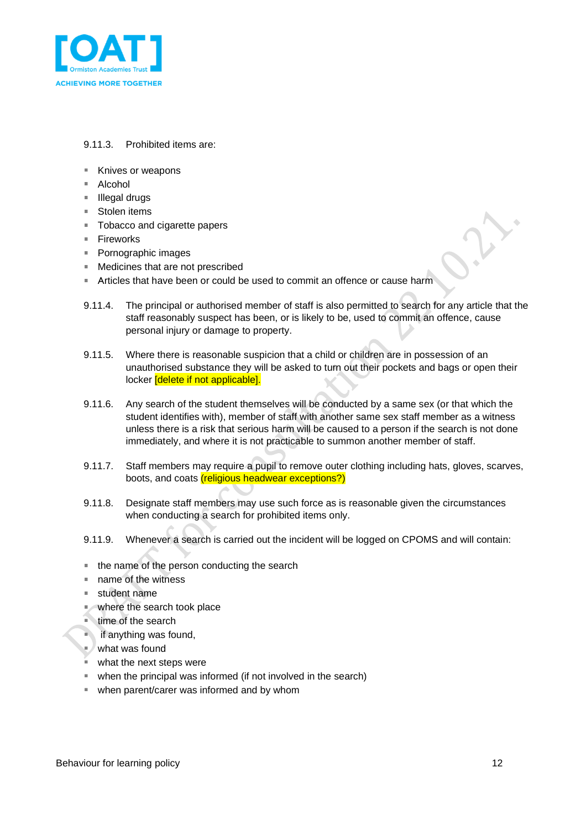

#### 9.11.3. Prohibited items are:

- Knives or weapons
- Alcohol
- Illegal drugs
- Stolen items
- **Tobacco and cigarette papers**
- Fireworks
- Pornographic images
- Medicines that are not prescribed  $\mathcal{L}_{\mathcal{A}}$
- Articles that have been or could be used to commit an offence or cause harm  $\bar{a}$
- 9.11.4. The principal or authorised member of staff is also permitted to search for any article that the staff reasonably suspect has been, or is likely to be, used to commit an offence, cause personal injury or damage to property.
- 9.11.5. Where there is reasonable suspicion that a child or children are in possession of an unauthorised substance they will be asked to turn out their pockets and bags or open their locker *delete* if not applicable].
- 9.11.6. Any search of the student themselves will be conducted by a same sex (or that which the student identifies with), member of staff with another same sex staff member as a witness unless there is a risk that serious harm will be caused to a person if the search is not done immediately, and where it is not practicable to summon another member of staff.
- 9.11.7. Staff members may require a pupil to remove outer clothing including hats, gloves, scarves, boots, and coats (religious headwear exceptions?)
- 9.11.8. Designate staff members may use such force as is reasonable given the circumstances when conducting a search for prohibited items only.
- 9.11.9. Whenever a search is carried out the incident will be logged on CPOMS and will contain:
- the name of the person conducting the search
- name of the witness
- student name
- where the search took place
- $\blacksquare$  time of the search
- $\blacksquare$  if anything was found,
- what was found
- $\blacksquare$  what the next steps were
- when the principal was informed (if not involved in the search)
- when parent/carer was informed and by whom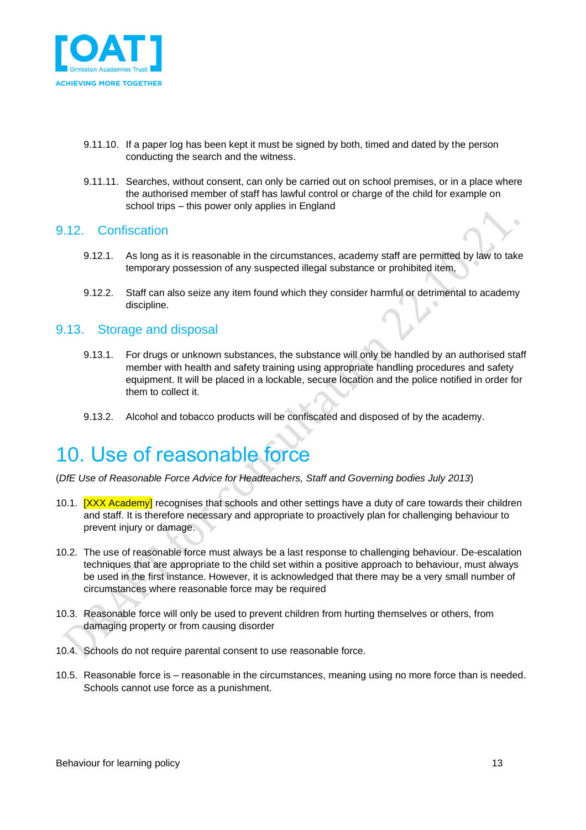

- 9.11.10. If a paper log has been kept it must be signed by both, timed and dated by the person conducting the search and the witness.
- 9.11.11. Searches, without consent, can only be carried out on school premises, or in a place where the authorised member of staff has lawful control or charge of the child for example on school trips – this power only applies in England

#### <span id="page-12-0"></span>9.12. Confiscation

- 9.12.1. As long as it is reasonable in the circumstances, academy staff are permitted by law to take temporary possession of any suspected illegal substance or prohibited item,
- 9.12.2. Staff can also seize any item found which they consider harmful or detrimental to academy discipline.

#### <span id="page-12-1"></span>9.13. Storage and disposal

- 9.13.1. For drugs or unknown substances, the substance will only be handled by an authorised staff member with health and safety training using appropriate handling procedures and safety equipment. It will be placed in a lockable, secure location and the police notified in order for them to collect it.
- 9.13.2. Alcohol and tobacco products will be confiscated and disposed of by the academy.

## <span id="page-12-2"></span>10. Use of reasonable force

(*DfE Use of Reasonable Force Advice for Headteachers, Staff and Governing bodies July 2013*)

- 10.1. **[XXX Academy]** recognises that schools and other settings have a duty of care towards their children and staff. It is therefore necessary and appropriate to proactively plan for challenging behaviour to prevent injury or damage.
- 10.2. The use of reasonable force must always be a last response to challenging behaviour. De-escalation techniques that are appropriate to the child set within a positive approach to behaviour, must always be used in the first instance. However, it is acknowledged that there may be a very small number of circumstances where reasonable force may be required
- 10.3. Reasonable force will only be used to prevent children from hurting themselves or others, from damaging property or from causing disorder
- 10.4. Schools do not require parental consent to use reasonable force.
- 10.5. Reasonable force is reasonable in the circumstances, meaning using no more force than is needed. Schools cannot use force as a punishment.

ò.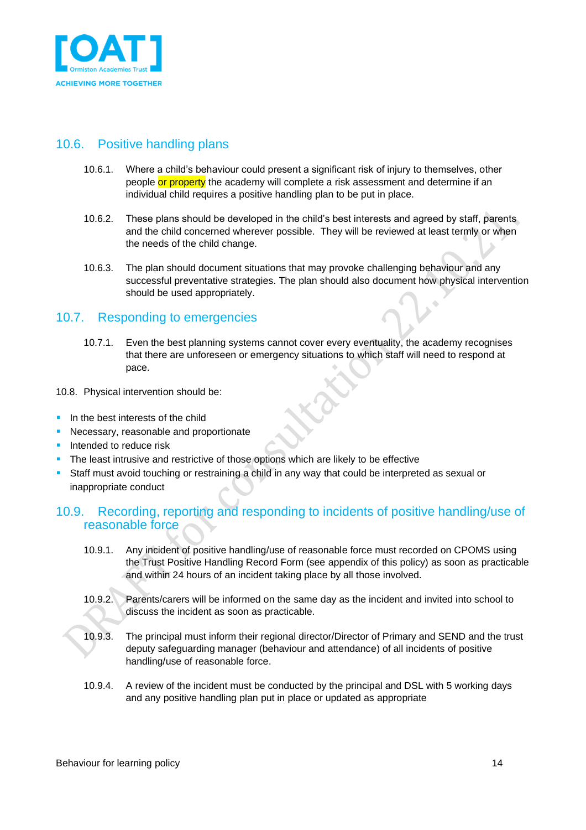

## <span id="page-13-0"></span>10.6. Positive handling plans

- 10.6.1. Where a child's behaviour could present a significant risk of injury to themselves, other people or property the academy will complete a risk assessment and determine if an individual child requires a positive handling plan to be put in place.
- 10.6.2. These plans should be developed in the child's best interests and agreed by staff, parents and the child concerned wherever possible. They will be reviewed at least termly or when the needs of the child change.
- 10.6.3. The plan should document situations that may provoke challenging behaviour and any successful preventative strategies. The plan should also document how physical intervention should be used appropriately.

### <span id="page-13-1"></span>10.7. Responding to emergencies

- 10.7.1. Even the best planning systems cannot cover every eventuality, the academy recognises that there are unforeseen or emergency situations to which staff will need to respond at pace.
- 10.8. Physical intervention should be:
- $\blacksquare$  In the best interests of the child
- **Necessary, reasonable and proportionate**
- **Intended to reduce risk**
- The least intrusive and restrictive of those options which are likely to be effective
- Staff must avoid touching or restraining a child in any way that could be interpreted as sexual or inappropriate conduct

## <span id="page-13-2"></span>10.9. Recording, reporting and responding to incidents of positive handling/use of reasonable force

- 10.9.1. Any incident of positive handling/use of reasonable force must recorded on CPOMS using the Trust Positive Handling Record Form (see appendix of this policy) as soon as practicable and within 24 hours of an incident taking place by all those involved.
- 10.9.2. Parents/carers will be informed on the same day as the incident and invited into school to discuss the incident as soon as practicable.
- 10.9.3. The principal must inform their regional director/Director of Primary and SEND and the trust deputy safeguarding manager (behaviour and attendance) of all incidents of positive handling/use of reasonable force.
- 10.9.4. A review of the incident must be conducted by the principal and DSL with 5 working days and any positive handling plan put in place or updated as appropriate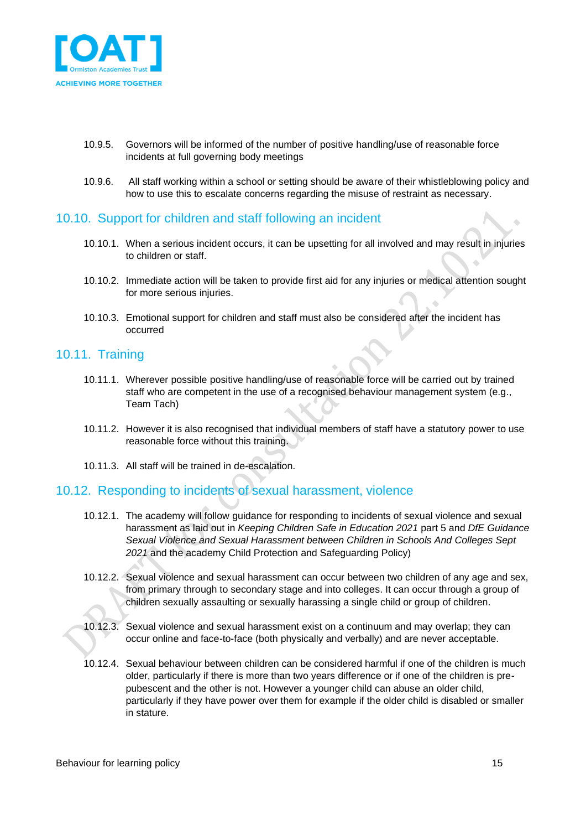

- 10.9.5. Governors will be informed of the number of positive handling/use of reasonable force incidents at full governing body meetings
- 10.9.6. All staff working within a school or setting should be aware of their whistleblowing policy and how to use this to escalate concerns regarding the misuse of restraint as necessary.

### <span id="page-14-0"></span>10.10. Support for children and staff following an incident

- 10.10.1. When a serious incident occurs, it can be upsetting for all involved and may result in injuries to children or staff.
- 10.10.2. Immediate action will be taken to provide first aid for any injuries or medical attention sought for more serious injuries.
- 10.10.3. Emotional support for children and staff must also be considered after the incident has occurred

#### <span id="page-14-1"></span>10.11. Training

- 10.11.1. Wherever possible positive handling/use of reasonable force will be carried out by trained staff who are competent in the use of a recognised behaviour management system (e.g., Team Tach)
- 10.11.2. However it is also recognised that individual members of staff have a statutory power to use reasonable force without this training.
- 10.11.3. All staff will be trained in de-escalation.

## <span id="page-14-2"></span>10.12. Responding to incidents of sexual harassment, violence

- 10.12.1. The academy will follow guidance for responding to incidents of sexual violence and sexual harassment as laid out in *Keeping Children Safe in Education 2021* part 5 and *DfE Guidance Sexual Violence and Sexual Harassment between Children in Schools And Colleges Sept 2021* and the academy Child Protection and Safeguarding Policy)
- 10.12.2. Sexual violence and sexual harassment can occur between two children of any age and sex, from primary through to secondary stage and into colleges. It can occur through a group of children sexually assaulting or sexually harassing a single child or group of children.
- 10.12.3. Sexual violence and sexual harassment exist on a continuum and may overlap; they can occur online and face-to-face (both physically and verbally) and are never acceptable.
- 10.12.4. Sexual behaviour between children can be considered harmful if one of the children is much older, particularly if there is more than two years difference or if one of the children is prepubescent and the other is not. However a younger child can abuse an older child, particularly if they have power over them for example if the older child is disabled or smaller in stature.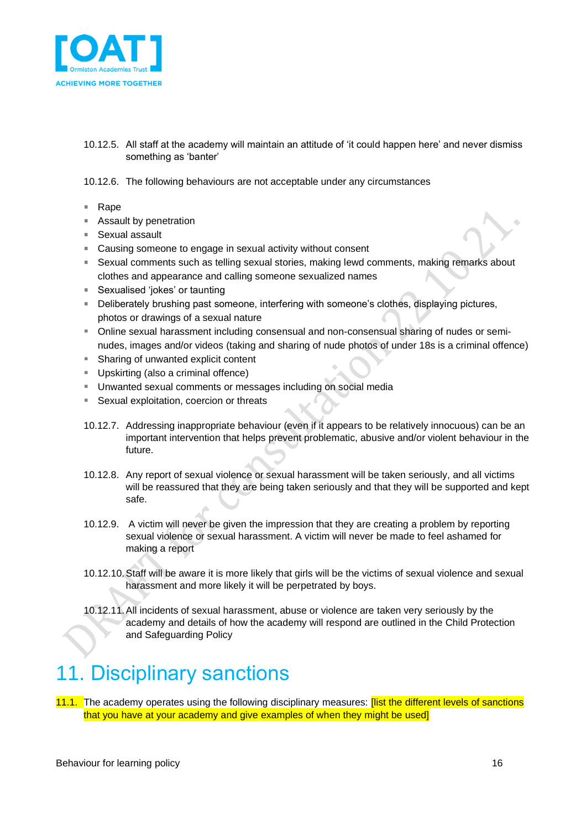

10.12.5. All staff at the academy will maintain an attitude of 'it could happen here' and never dismiss something as 'banter'

#### 10.12.6. The following behaviours are not acceptable under any circumstances

- Rape ×.
- Assault by penetration
- Sexual assault
- Causing someone to engage in sexual activity without consent
- **Sexual comments such as telling sexual stories, making lewd comments, making remarks about** clothes and appearance and calling someone sexualized names
- Sexualised 'iokes' or taunting
- **Deliberately brushing past someone, interfering with someone's clothes, displaying pictures,** photos or drawings of a sexual nature
- Online sexual harassment including consensual and non-consensual sharing of nudes or seminudes, images and/or videos (taking and sharing of nude photos of under 18s is a criminal offence)
- Sharing of unwanted explicit content
- Upskirting (also a criminal offence)
- Unwanted sexual comments or messages including on social media
- Sexual exploitation, coercion or threats  $\mathbf{u}$
- 10.12.7. Addressing inappropriate behaviour (even if it appears to be relatively innocuous) can be an important intervention that helps prevent problematic, abusive and/or violent behaviour in the future.
- 10.12.8. Any report of sexual violence or sexual harassment will be taken seriously, and all victims will be reassured that they are being taken seriously and that they will be supported and kept safe.
- 10.12.9. A victim will never be given the impression that they are creating a problem by reporting sexual violence or sexual harassment. A victim will never be made to feel ashamed for making a report
- 10.12.10.Staff will be aware it is more likely that girls will be the victims of sexual violence and sexual harassment and more likely it will be perpetrated by boys.
- 10.12.11.All incidents of sexual harassment, abuse or violence are taken very seriously by the academy and details of how the academy will respond are outlined in the Child Protection and Safeguarding Policy

## <span id="page-15-0"></span>11. Disciplinary sanctions

11.1. The academy operates using the following disciplinary measures: **[list the different levels of sanctions** that you have at your academy and give examples of when they might be used]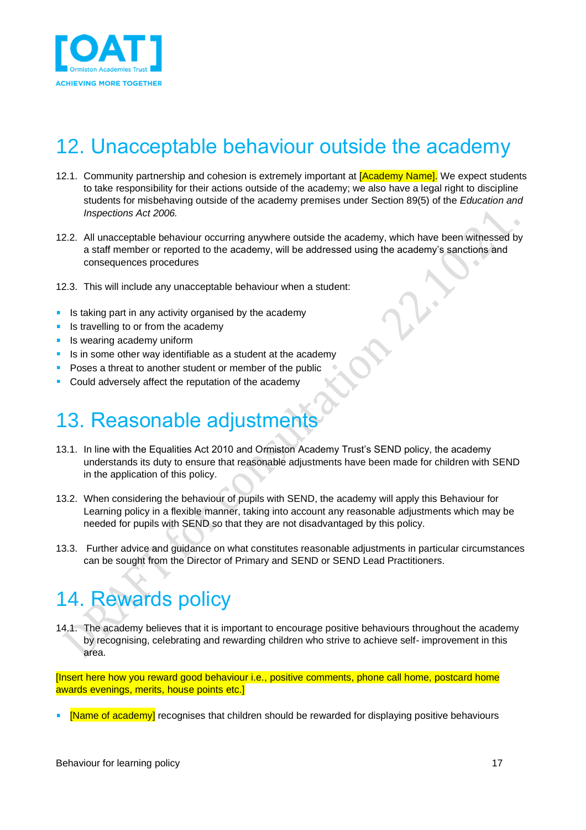

# <span id="page-16-0"></span>12. Unacceptable behaviour outside the academy

- 12.1. Community partnership and cohesion is extremely important at **[Academy Name]**. We expect students to take responsibility for their actions outside of the academy; we also have a legal right to discipline students for misbehaving outside of the academy premises under Section 89(5) of the *Education and Inspections Act 2006.*
- 12.2. All unacceptable behaviour occurring anywhere outside the academy, which have been witnessed by a staff member or reported to the academy, will be addressed using the academy's sanctions and consequences procedures
- 12.3. This will include any unacceptable behaviour when a student:
- $\blacksquare$  Is taking part in any activity organised by the academy
- Is travelling to or from the academy
- **In Ity wearing academy uniform**
- Is in some other way identifiable as a student at the academy
- **Poses a threat to another student or member of the public**
- **Could adversely affect the reputation of the academy**

## <span id="page-16-1"></span>13. Reasonable adjustments

- 13.1. In line with the Equalities Act 2010 and Ormiston Academy Trust's SEND policy, the academy understands its duty to ensure that reasonable adjustments have been made for children with SEND in the application of this policy.
- 13.2. When considering the behaviour of pupils with SEND, the academy will apply this Behaviour for Learning policy in a flexible manner, taking into account any reasonable adjustments which may be needed for pupils with SEND so that they are not disadvantaged by this policy.
- 13.3. Further advice and guidance on what constitutes reasonable adjustments in particular circumstances can be sought from the Director of Primary and SEND or SEND Lead Practitioners.

# <span id="page-16-2"></span>14. Rewards policy

14.1. The academy believes that it is important to encourage positive behaviours throughout the academy by recognising, celebrating and rewarding children who strive to achieve self- improvement in this area.

[Insert here how you reward good behaviour i.e., positive comments, phone call home, postcard home awards evenings, merits, house points etc.]

[Name of academy] recognises that children should be rewarded for displaying positive behaviours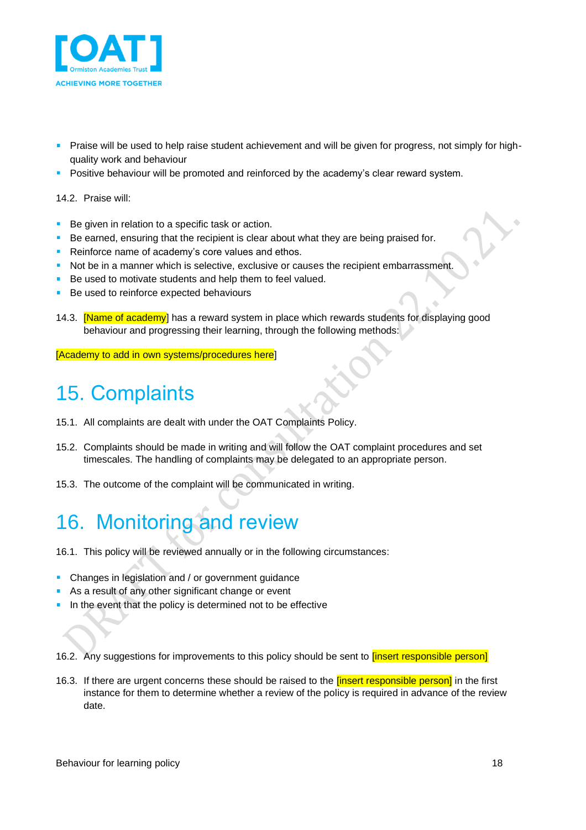

- Praise will be used to help raise student achievement and will be given for progress, not simply for highquality work and behaviour
- **Positive behaviour will be promoted and reinforced by the academy's clear reward system.**

#### 14.2. Praise will:

- Be given in relation to a specific task or action.
- Be earned, ensuring that the recipient is clear about what they are being praised for.
- Reinforce name of academy's core values and ethos.
- Not be in a manner which is selective, exclusive or causes the recipient embarrassment.
- Be used to motivate students and help them to feel valued.
- Be used to reinforce expected behaviours
- 14.3. **[Name of academy**] has a reward system in place which rewards students for displaying good behaviour and progressing their learning, through the following methods:

[Academy to add in own systems/procedures here]

## <span id="page-17-0"></span>15. Complaints

- 15.1. All complaints are dealt with under the OAT Complaints Policy.
- 15.2. Complaints should be made in writing and will follow the OAT complaint procedures and set timescales. The handling of complaints may be delegated to an appropriate person.
- 15.3. The outcome of the complaint will be communicated in writing.

# <span id="page-17-1"></span>16. Monitoring and review

- 16.1. This policy will be reviewed annually or in the following circumstances:
- Changes in legislation and / or government guidance
- As a result of any other significant change or event
- In the event that the policy is determined not to be effective

16.2. Any suggestions for improvements to this policy should be sent to *[insert responsible person]* 

16.3. If there are urgent concerns these should be raised to the *[insert responsible person]* in the first instance for them to determine whether a review of the policy is required in advance of the review date.